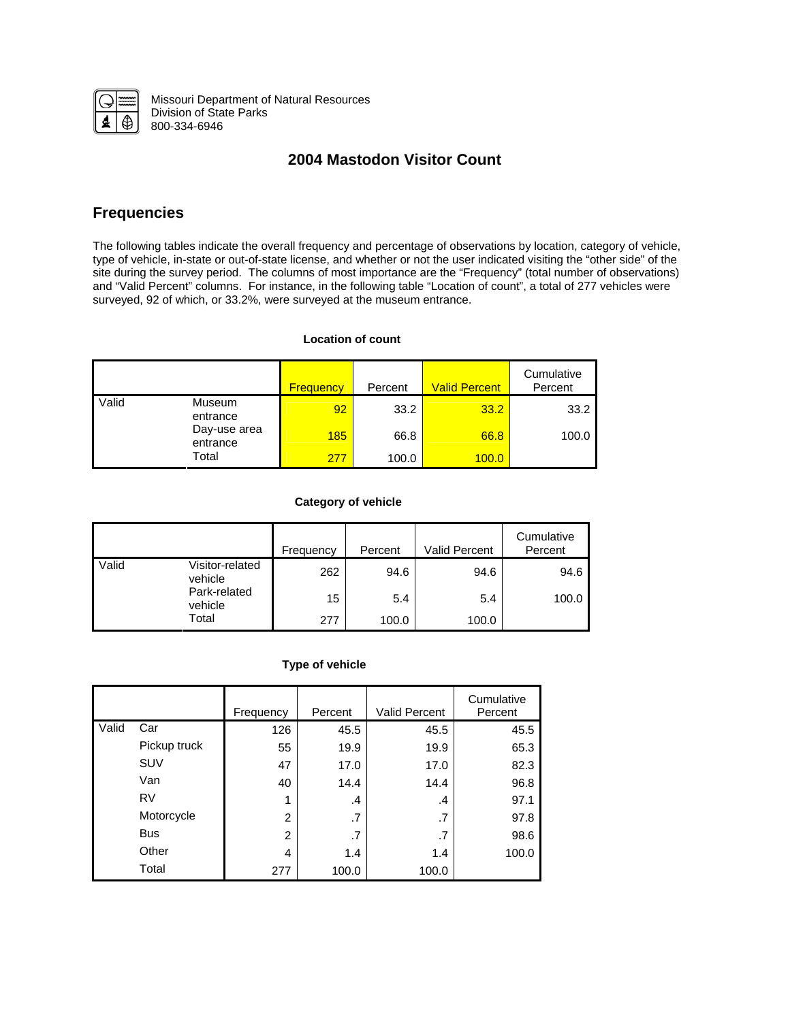

Missouri Department of Natural Resources Division of State Parks 800-334-6946

# **2004 Mastodon Visitor Count**

## **Frequencies**

The following tables indicate the overall frequency and percentage of observations by location, category of vehicle, type of vehicle, in-state or out-of-state license, and whether or not the user indicated visiting the "other side" of the site during the survey period. The columns of most importance are the "Frequency" (total number of observations) and "Valid Percent" columns. For instance, in the following table "Location of count", a total of 277 vehicles were surveyed, 92 of which, or 33.2%, were surveyed at the museum entrance.

## **Location of count**

|                                         |              | <b>Frequency</b> | Percent | <b>Valid Percent</b> | Cumulative<br>Percent |
|-----------------------------------------|--------------|------------------|---------|----------------------|-----------------------|
| Valid<br>Museum<br>entrance<br>entrance |              | 92               | 33.2    | 33.2                 | 33.2                  |
|                                         | Day-use area | 185              | 66.8    | 66.8                 | 100.0                 |
|                                         | Total        | 277              | 100.0   | 100.0                |                       |

## **Category of vehicle**

|       |                            | Frequency | Percent | <b>Valid Percent</b> | Cumulative<br>Percent |
|-------|----------------------------|-----------|---------|----------------------|-----------------------|
| Valid | Visitor-related<br>vehicle | 262       | 94.6    | 94.6                 | 94.6                  |
|       | Park-related<br>vehicle    | 15        | 5.4     | 5.4                  | 100.0                 |
|       | Total                      | 277       | 100.0   | 100.0                |                       |

## **Type of vehicle**

|       |              | Frequency      | Percent | <b>Valid Percent</b> | Cumulative<br>Percent |
|-------|--------------|----------------|---------|----------------------|-----------------------|
| Valid | Car          | 126            | 45.5    | 45.5                 | 45.5                  |
|       | Pickup truck | 55             | 19.9    | 19.9                 | 65.3                  |
|       | SUV          | 47             | 17.0    | 17.0                 | 82.3                  |
|       | Van          | 40             | 14.4    | 14.4                 | 96.8                  |
|       | <b>RV</b>    | 1              | $\cdot$ | .4                   | 97.1                  |
|       | Motorcycle   | $\overline{2}$ | .7      | .7                   | 97.8                  |
|       | <b>Bus</b>   | $\overline{2}$ | .7      | .7                   | 98.6                  |
|       | Other        | 4              | 1.4     | 1.4                  | 100.0                 |
|       | Total        | 277            | 100.0   | 100.0                |                       |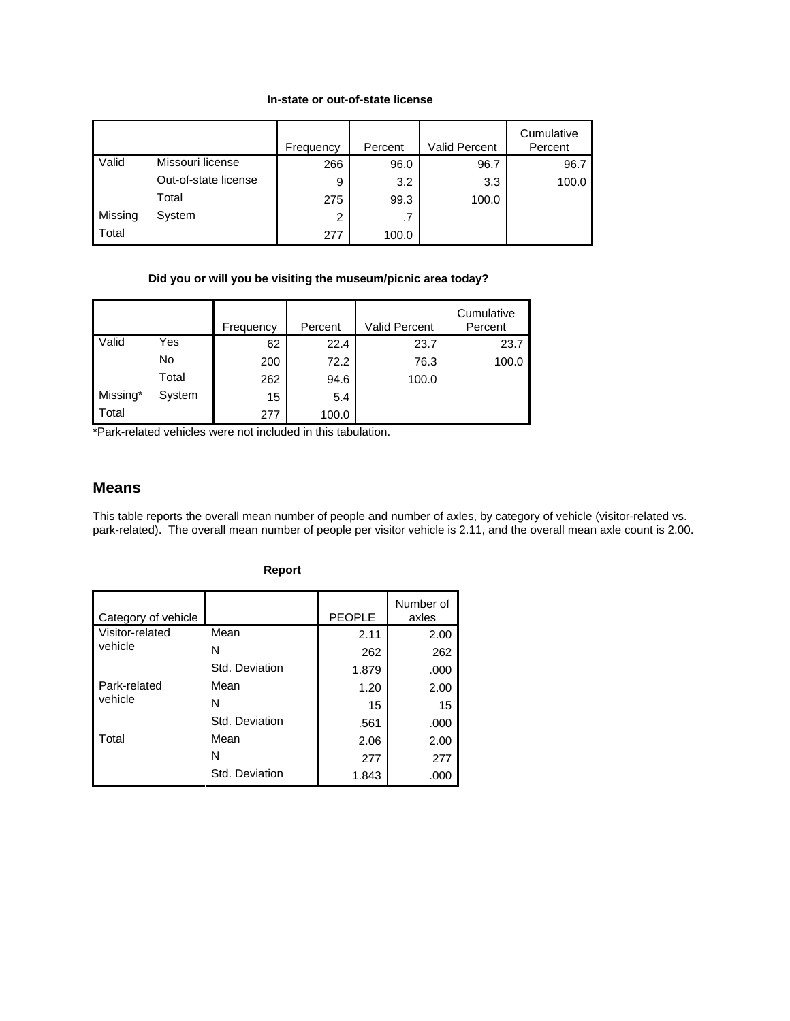## **In-state or out-of-state license**

|         |                      | Frequency | Percent | Valid Percent | Cumulative<br>Percent |
|---------|----------------------|-----------|---------|---------------|-----------------------|
| Valid   | Missouri license     | 266       | 96.0    | 96.7          | 96.7                  |
|         | Out-of-state license | 9         | 3.2     | 3.3           | 100.0                 |
|         | Total                | 275       | 99.3    | 100.0         |                       |
| Missing | System               | 2         | .7      |               |                       |
| Total   |                      | 277       | 100.0   |               |                       |

## **Did you or will you be visiting the museum/picnic area today?**

|          |        | Frequency | Percent | Valid Percent | Cumulative<br>Percent |
|----------|--------|-----------|---------|---------------|-----------------------|
| Valid    | Yes    | 62        | 22.4    | 23.7          | 23.7                  |
|          | No     | 200       | 72.2    | 76.3          | 100.0                 |
|          | Total  | 262       | 94.6    | 100.0         |                       |
| Missing* | System | 15        | 5.4     |               |                       |
| Total    |        | 277       | 100.0   |               |                       |

\*Park-related vehicles were not included in this tabulation.

## **Means**

This table reports the overall mean number of people and number of axles, by category of vehicle (visitor-related vs. park-related). The overall mean number of people per visitor vehicle is 2.11, and the overall mean axle count is 2.00.

| Category of vehicle |                | <b>PEOPLE</b> | Number of<br>axles |
|---------------------|----------------|---------------|--------------------|
| Visitor-related     | Mean           | 2.11          | 2.00               |
| vehicle             | N              | 262           | 262                |
|                     | Std. Deviation | 1.879         | .000               |
| Park-related        | Mean           | 1.20          | 2.00               |
| vehicle             | N              | 15            | 15                 |
|                     | Std. Deviation | .561          | .000               |
| Total               | Mean           | 2.06          | 2.00               |
|                     | N              | 277           | 277                |
|                     | Std. Deviation | 1.843         | .000               |

## **Report**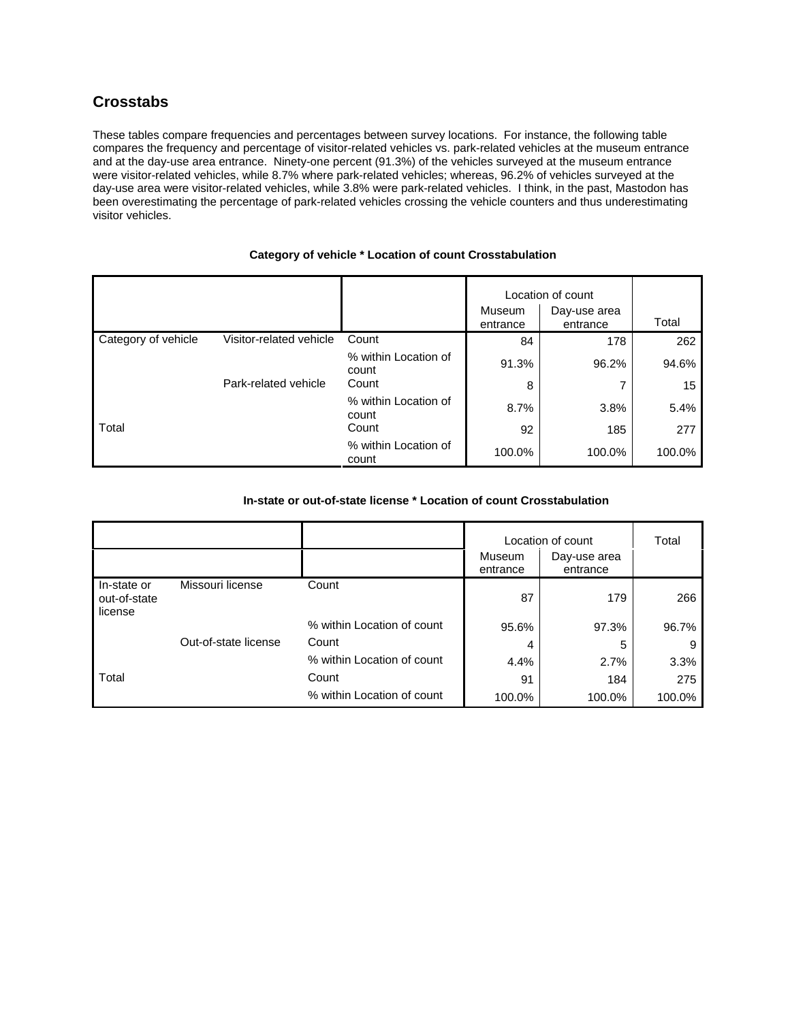## **Crosstabs**

These tables compare frequencies and percentages between survey locations. For instance, the following table compares the frequency and percentage of visitor-related vehicles vs. park-related vehicles at the museum entrance and at the day-use area entrance. Ninety-one percent (91.3%) of the vehicles surveyed at the museum entrance were visitor-related vehicles, while 8.7% where park-related vehicles; whereas, 96.2% of vehicles surveyed at the day-use area were visitor-related vehicles, while 3.8% were park-related vehicles. I think, in the past, Mastodon has been overestimating the percentage of park-related vehicles crossing the vehicle counters and thus underestimating visitor vehicles.

|                     |                         |                               | Museum<br>entrance | Location of count<br>Day-use area<br>entrance | Total  |
|---------------------|-------------------------|-------------------------------|--------------------|-----------------------------------------------|--------|
| Category of vehicle | Visitor-related vehicle | Count                         | 84                 | 178                                           | 262    |
|                     |                         | % within Location of<br>count | 91.3%              | 96.2%                                         | 94.6%  |
|                     | Park-related vehicle    | Count                         | 8                  |                                               | 15     |
|                     |                         | % within Location of<br>count | 8.7%               | 3.8%                                          | 5.4%   |
| Total               |                         | Count                         | 92                 | 185                                           | 277    |
|                     |                         | % within Location of<br>count | 100.0%             | 100.0%                                        | 100.0% |

#### **Category of vehicle \* Location of count Crosstabulation**

## **In-state or out-of-state license \* Location of count Crosstabulation**

|                                        |                      |                            | Museum<br>entrance | Location of count<br>Day-use area<br>entrance | Total  |
|----------------------------------------|----------------------|----------------------------|--------------------|-----------------------------------------------|--------|
| In-state or<br>out-of-state<br>license | Missouri license     | Count                      | 87                 | 179                                           | 266    |
|                                        |                      | % within Location of count | 95.6%              | 97.3%                                         | 96.7%  |
|                                        | Out-of-state license | Count                      | 4                  | 5                                             | 9      |
|                                        |                      | % within Location of count | 4.4%               | 2.7%                                          | 3.3%   |
| Total                                  |                      | Count                      | 91                 | 184                                           | 275    |
|                                        |                      | % within Location of count | 100.0%             | 100.0%                                        | 100.0% |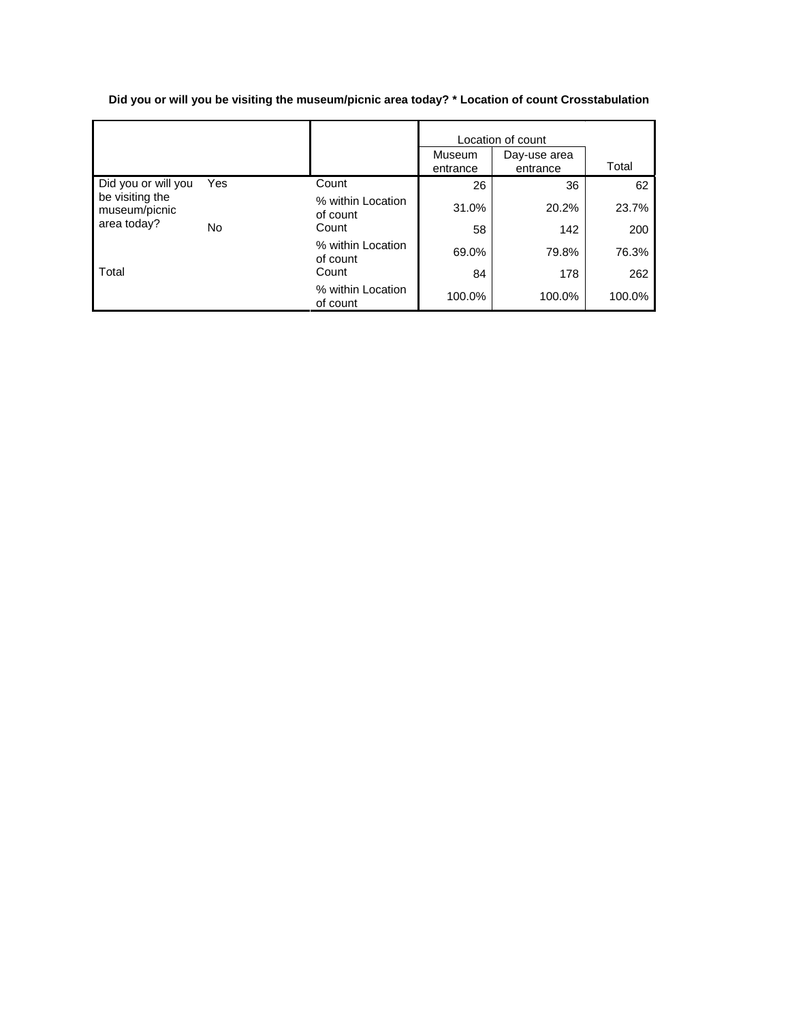**Did you or will you be visiting the museum/picnic area today? \* Location of count Crosstabulation** 

|                                  |     |                               | Location of count  |                          |        |
|----------------------------------|-----|-------------------------------|--------------------|--------------------------|--------|
|                                  |     |                               | Museum<br>entrance | Day-use area<br>entrance | Total  |
| Did you or will you              | Yes | Count                         | 26                 | 36                       | 62     |
| be visiting the<br>museum/picnic |     | % within Location<br>of count | 31.0%              | 20.2%                    | 23.7%  |
| area today?                      | No  | Count                         | 58                 | 142                      | 200    |
|                                  |     | % within Location<br>of count | 69.0%              | 79.8%                    | 76.3%  |
| Total                            |     | Count                         | 84                 | 178                      | 262    |
|                                  |     | % within Location<br>of count | 100.0%             | 100.0%                   | 100.0% |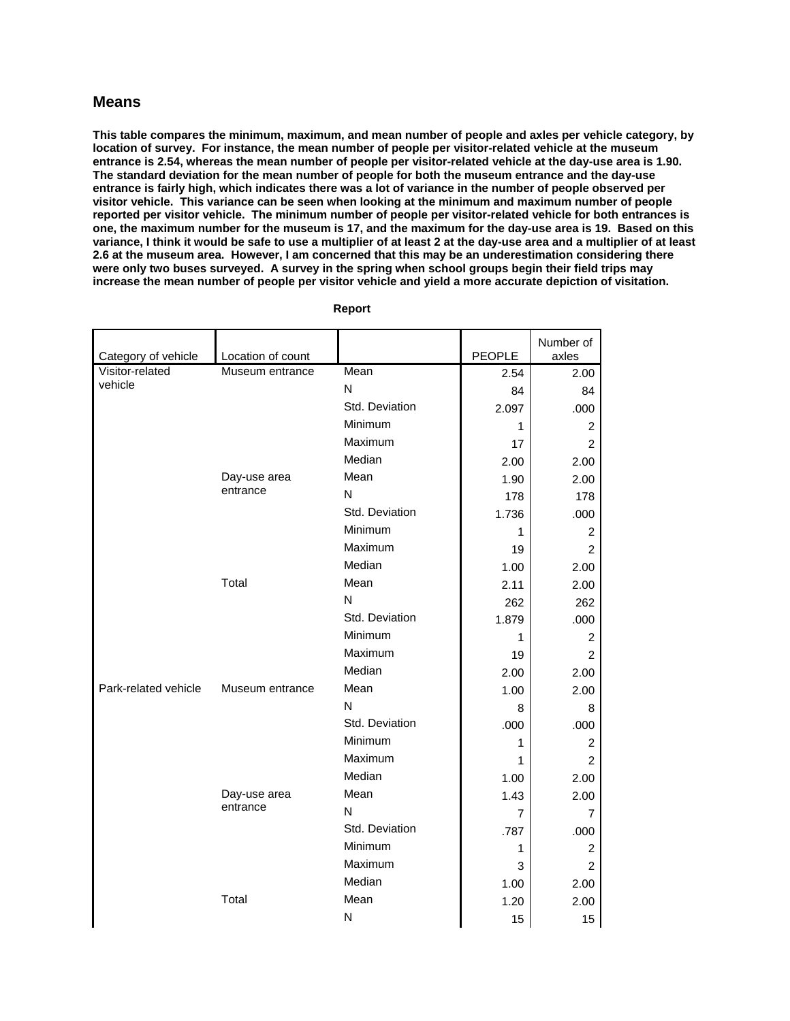## **Means**

**This table compares the minimum, maximum, and mean number of people and axles per vehicle category, by location of survey. For instance, the mean number of people per visitor-related vehicle at the museum entrance is 2.54, whereas the mean number of people per visitor-related vehicle at the day-use area is 1.90. The standard deviation for the mean number of people for both the museum entrance and the day-use entrance is fairly high, which indicates there was a lot of variance in the number of people observed per visitor vehicle. This variance can be seen when looking at the minimum and maximum number of people reported per visitor vehicle. The minimum number of people per visitor-related vehicle for both entrances is one, the maximum number for the museum is 17, and the maximum for the day-use area is 19. Based on this variance, I think it would be safe to use a multiplier of at least 2 at the day-use area and a multiplier of at least 2.6 at the museum area. However, I am concerned that this may be an underestimation considering there were only two buses surveyed. A survey in the spring when school groups begin their field trips may increase the mean number of people per visitor vehicle and yield a more accurate depiction of visitation.** 

| Category of vehicle  | Location of count |                | <b>PEOPLE</b> | Number of<br>axles |
|----------------------|-------------------|----------------|---------------|--------------------|
| Visitor-related      | Museum entrance   | Mean           | 2.54          | 2.00               |
| vehicle              |                   | N              | 84            | 84                 |
|                      |                   | Std. Deviation | 2.097         | .000               |
|                      |                   | Minimum        | 1             | $\overline{c}$     |
|                      |                   | Maximum        | 17            | $\overline{2}$     |
|                      |                   | Median         | 2.00          | 2.00               |
|                      | Day-use area      | Mean           | 1.90          | 2.00               |
|                      | entrance          | N              | 178           | 178                |
|                      |                   | Std. Deviation | 1.736         | .000               |
|                      |                   | Minimum        | 1             | 2                  |
|                      |                   | Maximum        | 19            | $\overline{2}$     |
|                      |                   | Median         | 1.00          | 2.00               |
|                      | Total             | Mean           | 2.11          | 2.00               |
|                      |                   | N              | 262           | 262                |
|                      |                   | Std. Deviation | 1.879         | .000               |
|                      |                   | Minimum        | 1             | $\overline{c}$     |
|                      |                   | Maximum        | 19            | $\overline{2}$     |
|                      |                   | Median         | 2.00          | 2.00               |
| Park-related vehicle | Museum entrance   | Mean           | 1.00          | 2.00               |
|                      |                   | N              | 8             | 8                  |
|                      |                   | Std. Deviation | .000          | .000               |
|                      |                   | Minimum        | 1             | $\overline{c}$     |
|                      |                   | Maximum        | 1             | $\overline{2}$     |
|                      |                   | Median         | 1.00          | 2.00               |
|                      | Day-use area      | Mean           | 1.43          | 2.00               |
|                      | entrance          | N              | 7             | 7                  |
|                      |                   | Std. Deviation | .787          | .000               |
|                      |                   | Minimum        | 1             | $\overline{c}$     |
|                      |                   | Maximum        | 3             | $\overline{2}$     |
|                      |                   | Median         | 1.00          | 2.00               |
|                      | Total             | Mean           | 1.20          | 2.00               |
|                      |                   | N              | 15            | 15                 |

 **Report**